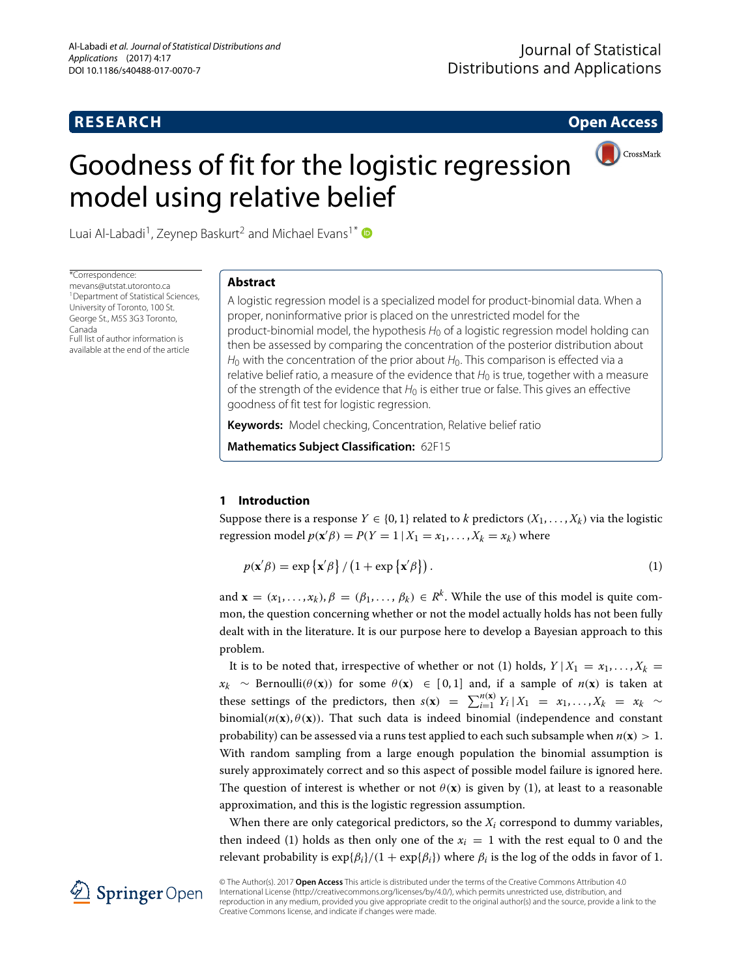# **RESEARCH Open Access**

# Goodness of fit for the logistic regression model using relative belief



Luai Al-Labadi<sup>1</sup>, Zeynep Baskurt<sup>2</sup> and Michael Evans<sup>1\*</sup>

\*Correspondence: [mevans@utstat.utoronto.ca](mailto: mevans@utstat.utoronto.ca) <sup>1</sup> Department of Statistical Sciences, University of Toronto, 100 St. George St., M5S 3G3 Toronto, Canada Full list of author information is available at the end of the article

# **Abstract**

A logistic regression model is a specialized model for product-binomial data. When a proper, noninformative prior is placed on the unrestricted model for the product-binomial model, the hypothesis  $H_0$  of a logistic regression model holding can then be assessed by comparing the concentration of the posterior distribution about  $H_0$  with the concentration of the prior about  $H_0$ . This comparison is effected via a relative belief ratio, a measure of the evidence that  $H_0$  is true, together with a measure of the strength of the evidence that  $H_0$  is either true or false. This gives an effective goodness of fit test for logistic regression.

**Keywords:** Model checking, Concentration, Relative belief ratio

**Mathematics Subject Classification:** 62F15

# **1 Introduction**

Suppose there is a response  $Y \in \{0, 1\}$  related to *k* predictors  $(X_1, \ldots, X_k)$  via the logistic regression model  $p(\mathbf{x}'\boldsymbol{\beta}) = P(Y = 1 | X_1 = x_1, \ldots, X_k = x_k)$  where

<span id="page-0-0"></span>
$$
p(\mathbf{x}'\beta) = \exp\{\mathbf{x}'\beta\} / (1 + \exp\{\mathbf{x}'\beta\}).
$$
 (1)

and  $\mathbf{x} = (x_1, \ldots, x_k), \beta = (\beta_1, \ldots, \beta_k) \in \mathbb{R}^k$ . While the use of this model is quite common, the question concerning whether or not the model actually holds has not been fully dealt with in the literature. It is our purpose here to develop a Bayesian approach to this problem.

It is to be noted that, irrespective of whether or not [\(1\)](#page-0-0) holds,  $Y | X_1 = x_1, \ldots, X_k =$ *x<sub>k</sub>* ∼ Bernoulli( $\theta$ (**x**)) for some  $\theta$ (**x**) ∈ [0,1] and, if a sample of *n*(**x**) is taken at these settings of the predictors, then  $s(\mathbf{x}) = \sum_{i=1}^{n(\mathbf{x})} Y_i | X_1 = x_1, \ldots, X_k = x_k \sim$ binomial( $n(\mathbf{x}), \theta(\mathbf{x})$ ). That such data is indeed binomial (independence and constant probability) can be assessed via a runs test applied to each such subsample when  $n(\mathbf{x}) > 1$ . With random sampling from a large enough population the binomial assumption is surely approximately correct and so this aspect of possible model failure is ignored here. The question of interest is whether or not  $\theta(x)$  is given by [\(1\)](#page-0-0), at least to a reasonable approximation, and this is the logistic regression assumption.

When there are only categorical predictors, so the *Xi* correspond to dummy variables, then indeed [\(1\)](#page-0-0) holds as then only one of the  $x_i = 1$  with the rest equal to 0 and the relevant probability is  $\exp{\{\beta_i\}}/(1 + \exp{\{\beta_i\}})$  where  $\beta_i$  is the log of the odds in favor of 1.



© The Author(s). 2017 **Open Access** This article is distributed under the terms of the Creative Commons Attribution 4.0 International License [\(http://creativecommons.org/licenses/by/4.0/\)](http://creativecommons.org/licenses/by/4.0/), which permits unrestricted use, distribution, and reproduction in any medium, provided you give appropriate credit to the original author(s) and the source, provide a link to the Creative Commons license, and indicate if changes were made.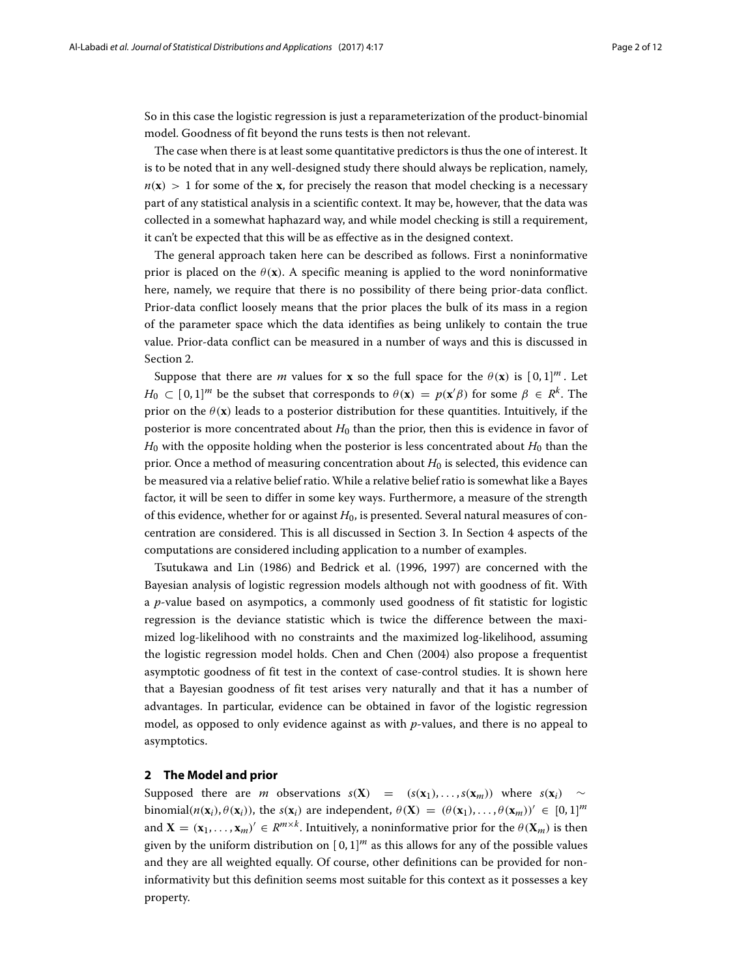So in this case the logistic regression is just a reparameterization of the product-binomial model. Goodness of fit beyond the runs tests is then not relevant.

The case when there is at least some quantitative predictors is thus the one of interest. It is to be noted that in any well-designed study there should always be replication, namely,  $n(x) > 1$  for some of the **x**, for precisely the reason that model checking is a necessary part of any statistical analysis in a scientific context. It may be, however, that the data was collected in a somewhat haphazard way, and while model checking is still a requirement, it can't be expected that this will be as effective as in the designed context.

The general approach taken here can be described as follows. First a noninformative prior is placed on the  $\theta(\mathbf{x})$ . A specific meaning is applied to the word noninformative here, namely, we require that there is no possibility of there being prior-data conflict. Prior-data conflict loosely means that the prior places the bulk of its mass in a region of the parameter space which the data identifies as being unlikely to contain the true value. Prior-data conflict can be measured in a number of ways and this is discussed in Section [2.](#page-1-0)

Suppose that there are *m* values for **x** so the full space for the  $\theta(\mathbf{x})$  is  $[0,1]^m$ . Let *H*<sup>0</sup> ⊂ [ 0, 1]<sup>*m*</sup> be the subset that corresponds to  $\theta$ (**x**) =  $p$ (**x**<sup>'</sup> $\beta$ ) for some  $\beta \in R^k$ . The prior on the  $\theta(\mathbf{x})$  leads to a posterior distribution for these quantities. Intuitively, if the posterior is more concentrated about  $H_0$  than the prior, then this is evidence in favor of  $H_0$  with the opposite holding when the posterior is less concentrated about  $H_0$  than the prior. Once a method of measuring concentration about  $H_0$  is selected, this evidence can be measured via a relative belief ratio. While a relative belief ratio is somewhat like a Bayes factor, it will be seen to differ in some key ways. Furthermore, a measure of the strength of this evidence, whether for or against *H*0, is presented. Several natural measures of concentration are considered. This is all discussed in Section [3.](#page-2-0) In Section [4](#page-6-0) aspects of the computations are considered including application to a number of examples.

Tsutukawa and Lin [\(1986\)](#page-11-0) and Bedrick et al. [\(1996,](#page-11-1) [1997\)](#page-11-2) are concerned with the Bayesian analysis of logistic regression models although not with goodness of fit. With a *p*-value based on asympotics, a commonly used goodness of fit statistic for logistic regression is the deviance statistic which is twice the difference between the maximized log-likelihood with no constraints and the maximized log-likelihood, assuming the logistic regression model holds. Chen and Chen [\(2004\)](#page-11-3) also propose a frequentist asymptotic goodness of fit test in the context of case-control studies. It is shown here that a Bayesian goodness of fit test arises very naturally and that it has a number of advantages. In particular, evidence can be obtained in favor of the logistic regression model, as opposed to only evidence against as with *p*-values, and there is no appeal to asymptotics.

# <span id="page-1-0"></span>**2 The Model and prior**

Supposed there are *m* observations  $s(\mathbf{X}) = (s(\mathbf{x}_1), \dots, s(\mathbf{x}_m))$  where  $s(\mathbf{x}_i) \sim$ binomial( $n(\mathbf{x}_i), \theta(\mathbf{x}_i)$ ), the  $s(\mathbf{x}_i)$  are independent,  $\theta(\mathbf{X}) = (\theta(\mathbf{x}_1), \dots, \theta(\mathbf{x}_m))' \in [0, 1]^m$ and  $\mathbf{X} = (\mathbf{x}_1, \dots, \mathbf{x}_m)' \in R^{m \times k}$ . Intuitively, a noninformative prior for the  $\theta(\mathbf{X}_m)$  is then given by the uniform distribution on  $[0,1]^m$  as this allows for any of the possible values and they are all weighted equally. Of course, other definitions can be provided for noninformativity but this definition seems most suitable for this context as it possesses a key property.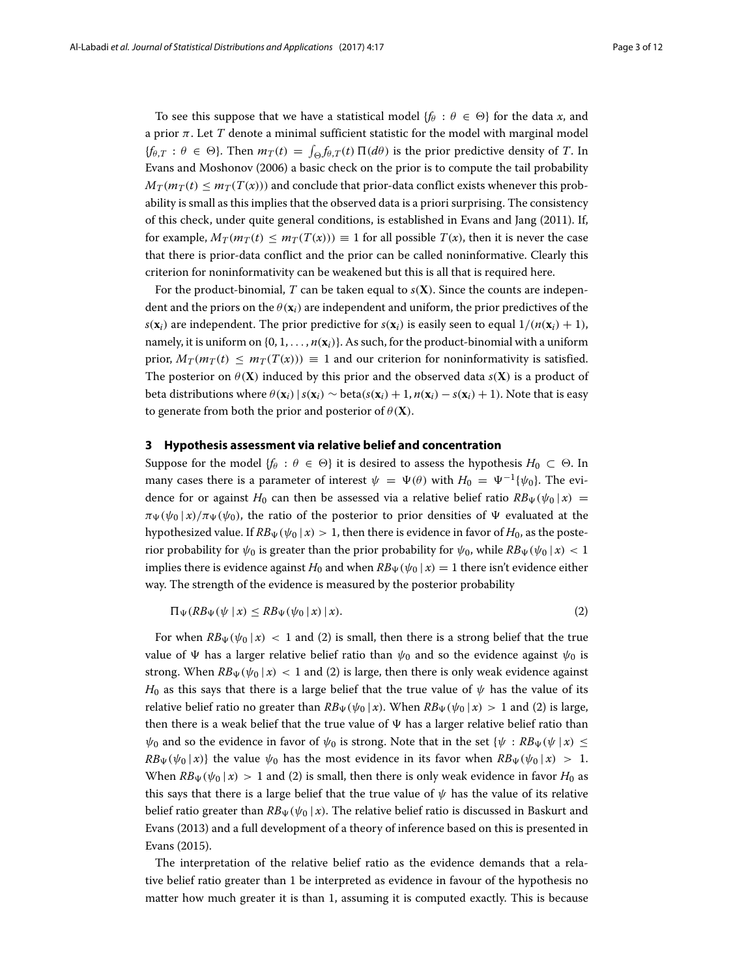To see this suppose that we have a statistical model  ${f_{\theta}: \theta \in \Theta}$  for the data *x*, and a prior  $\pi$ . Let *T* denote a minimal sufficient statistic for the model with marginal model  ${f_{\theta,T} : \theta \in \Theta}$ . Then  $m_T(t) = \int_{\Theta} f_{\theta,T}(t) \Pi(d\theta)$  is the prior predictive density of *T*. In Evans and Moshonov [\(2006\)](#page-11-4) a basic check on the prior is to compute the tail probability  $M_T(m_T(t) \le m_T(T(x)))$  and conclude that prior-data conflict exists whenever this probability is small as this implies that the observed data is a priori surprising. The consistency of this check, under quite general conditions, is established in Evans and Jang [\(2011\)](#page-11-5). If, for example,  $M_T(m_T(t) \le m_T(T(x))) \equiv 1$  for all possible  $T(x)$ , then it is never the case that there is prior-data conflict and the prior can be called noninformative. Clearly this criterion for noninformativity can be weakened but this is all that is required here.

For the product-binomial,  $T$  can be taken equal to  $s(X)$ . Since the counts are independent and the priors on the  $\theta(\mathbf{x}_i)$  are independent and uniform, the prior predictives of the  $s(\mathbf{x}_i)$  are independent. The prior predictive for  $s(\mathbf{x}_i)$  is easily seen to equal  $1/(n(\mathbf{x}_i) + 1)$ , namely, it is uniform on  $\{0, 1, \ldots, n(\mathbf{x}_i)\}\)$ . As such, for the product-binomial with a uniform prior,  $M_T(m_T(t) \leq m_T(T(x))) \equiv 1$  and our criterion for noninformativity is satisfied. The posterior on  $\theta$ (**X**) induced by this prior and the observed data  $s(X)$  is a product of beta distributions where  $\theta(\mathbf{x}_i) | s(\mathbf{x}_i) \sim \text{beta}(s(\mathbf{x}_i) + 1, n(\mathbf{x}_i) - s(\mathbf{x}_i) + 1)$ . Note that is easy to generate from both the prior and posterior of  $\theta$ (**X**).

## <span id="page-2-0"></span>**3 Hypothesis assessment via relative belief and concentration**

Suppose for the model  ${f_{\theta}: \theta \in \Theta}$  it is desired to assess the hypothesis  $H_0 \subset \Theta$ . In many cases there is a parameter of interest  $\psi = \Psi(\theta)$  with  $H_0 = \Psi^{-1} \{\psi_0\}$ . The evidence for or against  $H_0$  can then be assessed via a relative belief ratio  $RB_{\Psi}(\psi_0 | x)$  =  $\pi_{\Psi}(\psi_0 | x) / \pi_{\Psi}(\psi_0)$ , the ratio of the posterior to prior densities of  $\Psi$  evaluated at the hypothesized value. If  $RB_{\Psi}(\psi_0 | x) > 1$ , then there is evidence in favor of  $H_0$ , as the posterior probability for  $\psi_0$  is greater than the prior probability for  $\psi_0$ , while  $RB_{\Psi}(\psi_0 | x) < 1$ implies there is evidence against  $H_0$  and when  $RB_{\Psi}(\psi_0 | x) = 1$  there isn't evidence either way. The strength of the evidence is measured by the posterior probability

<span id="page-2-1"></span>
$$
\Pi_{\Psi}(RB_{\Psi}(\psi \mid x) \leq RB_{\Psi}(\psi_0 \mid x) \mid x). \tag{2}
$$

For when  $RB_{\Psi}(\psi_0 | x) < 1$  and [\(2\)](#page-2-1) is small, then there is a strong belief that the true value of  $\Psi$  has a larger relative belief ratio than  $\psi_0$  and so the evidence against  $\psi_0$  is strong. When  $RB_{\Psi}(\psi_0 | x) < 1$  and [\(2\)](#page-2-1) is large, then there is only weak evidence against  $H_0$  as this says that there is a large belief that the true value of  $\psi$  has the value of its relative belief ratio no greater than  $RB_{\Psi}(\psi_0 | x)$ . When  $RB_{\Psi}(\psi_0 | x) > 1$  and [\(2\)](#page-2-1) is large, then there is a weak belief that the true value of  $\Psi$  has a larger relative belief ratio than  $\psi_0$  and so the evidence in favor of  $\psi_0$  is strong. Note that in the set  $\{\psi : R_{\Psi}(\psi | x) \leq \psi_0\}$  $RB_{\Psi}(\psi_0 | x)$  the value  $\psi_0$  has the most evidence in its favor when  $RB_{\Psi}(\psi_0 | x) > 1$ . When  $RB_{\Psi}(\psi_0 | x) > 1$  and [\(2\)](#page-2-1) is small, then there is only weak evidence in favor  $H_0$  as this says that there is a large belief that the true value of  $\psi$  has the value of its relative belief ratio greater than  $RB_{\Psi}(\psi_0 | x)$ . The relative belief ratio is discussed in Baskurt and Evans [\(2013\)](#page-11-6) and a full development of a theory of inference based on this is presented in Evans [\(2015\)](#page-11-7).

The interpretation of the relative belief ratio as the evidence demands that a relative belief ratio greater than 1 be interpreted as evidence in favour of the hypothesis no matter how much greater it is than 1, assuming it is computed exactly. This is because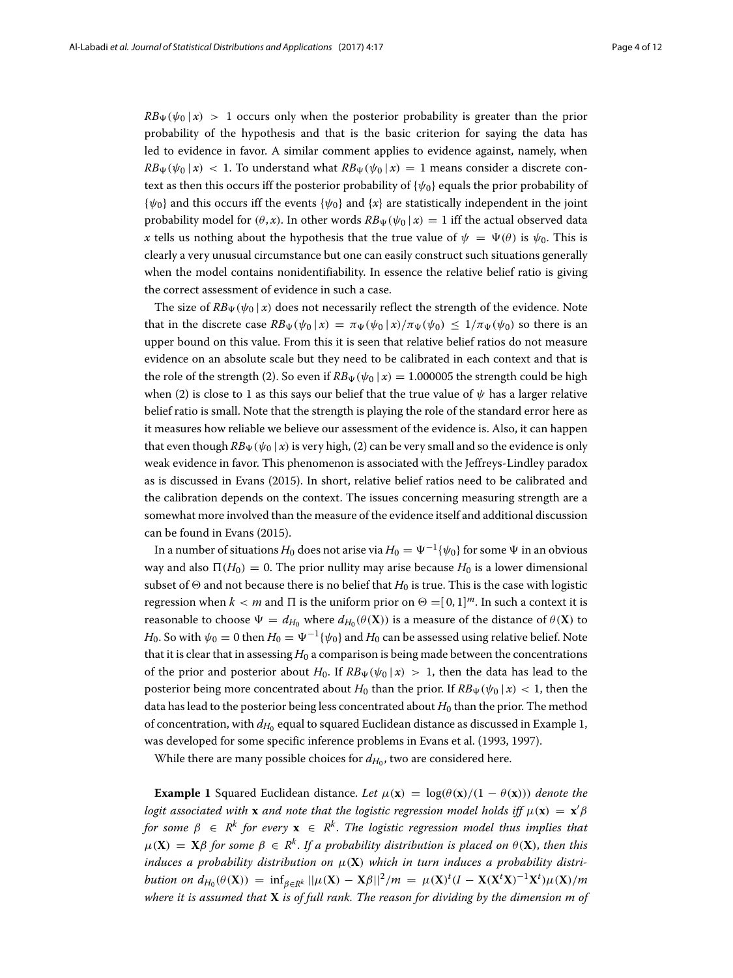$RB_{\Psi}(\psi_0 | x) > 1$  occurs only when the posterior probability is greater than the prior probability of the hypothesis and that is the basic criterion for saying the data has led to evidence in favor. A similar comment applies to evidence against, namely, when  $RB_{\Psi}(\psi_0 | x)$  < 1. To understand what  $RB_{\Psi}(\psi_0 | x) = 1$  means consider a discrete context as then this occurs iff the posterior probability of  $\{\psi_0\}$  equals the prior probability of  ${\psi_0}$  and this occurs iff the events  ${\psi_0}$  and  ${x}$  are statistically independent in the joint probability model for  $(\theta, x)$ . In other words  $RB_{\Psi}(\psi_0 | x) = 1$  iff the actual observed data *x* tells us nothing about the hypothesis that the true value of  $\psi = \Psi(\theta)$  is  $\psi_0$ . This is clearly a very unusual circumstance but one can easily construct such situations generally when the model contains nonidentifiability. In essence the relative belief ratio is giving the correct assessment of evidence in such a case.

The size of  $RB_{\Psi}(\psi_0 | x)$  does not necessarily reflect the strength of the evidence. Note that in the discrete case  $RB_{\Psi}(\psi_0 | x) = \pi_{\Psi}(\psi_0 | x)/\pi_{\Psi}(\psi_0) \leq 1/\pi_{\Psi}(\psi_0)$  so there is an upper bound on this value. From this it is seen that relative belief ratios do not measure evidence on an absolute scale but they need to be calibrated in each context and that is the role of the strength [\(2\)](#page-2-1). So even if  $RB_{\Psi}(\psi_0 | x) = 1.000005$  the strength could be high when [\(2\)](#page-2-1) is close to 1 as this says our belief that the true value of  $\psi$  has a larger relative belief ratio is small. Note that the strength is playing the role of the standard error here as it measures how reliable we believe our assessment of the evidence is. Also, it can happen that even though  $RB_{\Psi}(\psi_0 | x)$  is very high, [\(2\)](#page-2-1) can be very small and so the evidence is only weak evidence in favor. This phenomenon is associated with the Jeffreys-Lindley paradox as is discussed in Evans [\(2015\)](#page-11-7). In short, relative belief ratios need to be calibrated and the calibration depends on the context. The issues concerning measuring strength are a somewhat more involved than the measure of the evidence itself and additional discussion can be found in Evans [\(2015\)](#page-11-7).

In a number of situations *H*<sub>0</sub> does not arise via  $H_0 = \Psi^{-1}{\psi_0}$  for some  $\Psi$  in an obvious way and also  $\Pi(H_0) = 0$ . The prior nullity may arise because  $H_0$  is a lower dimensional subset of  $\Theta$  and not because there is no belief that  $H_0$  is true. This is the case with logistic regression when  $k < m$  and  $\Pi$  is the uniform prior on  $\Theta = [0, 1]^m$ . In such a context it is reasonable to choose  $\Psi = d_{H_0}$  where  $d_{H_0}(\theta(\mathbf{X}))$  is a measure of the distance of  $\theta(\mathbf{X})$  to *H*<sub>0</sub>. So with  $\psi_0 = 0$  then  $H_0 = \Psi^{-1} \{ \psi_0 \}$  and  $H_0$  can be assessed using relative belief. Note that it is clear that in assessing  $H_0$  a comparison is being made between the concentrations of the prior and posterior about  $H_0$ . If  $RB_{\Psi}(\psi_0 | x) > 1$ , then the data has lead to the posterior being more concentrated about  $H_0$  than the prior. If  $RB_{\Psi}(\psi_0 | x) < 1$ , then the data has lead to the posterior being less concentrated about  $H_0$  than the prior. The method of concentration, with *dH*<sup>0</sup> equal to squared Euclidean distance as discussed in Example [1,](#page-3-0) was developed for some specific inference problems in Evans et al. [\(1993,](#page-11-8) [1997\)](#page-11-9).

While there are many possible choices for  $d_{H_0}$ , two are considered here.

<span id="page-3-0"></span>**Example 1** Squared Euclidean distance. Let  $\mu(\mathbf{x}) = \log(\theta(\mathbf{x})/(1 - \theta(\mathbf{x})))$  denote the *logit associated with* **x** *and note that the logistic regression model holds iff*  $\mu(\mathbf{x}) = \mathbf{x}'\beta$ *for some*  $\beta \in R^k$  *for every*  $\mathbf{x} \in R^k$ . *The logistic regression model thus implies that*  $\mu(X) = X\beta$  for some  $\beta \in R^k$ . If a probability distribution is placed on  $\theta(X)$ , then this *induces a probability distribution on*  $\mu$ (X) which in turn induces a probability distri*bution on*  $d_{H_0}(\theta(\mathbf{X})) = \inf_{\beta \in R^k} ||\mu(\mathbf{X}) - \mathbf{X}\beta||^2/m = \mu(\mathbf{X})^t(I - \mathbf{X}(\mathbf{X}^t\mathbf{X})^{-1}\mathbf{X}^t)\mu(\mathbf{X})/m$ *where it is assumed that* **X** *is of full rank. The reason for dividing by the dimension m of*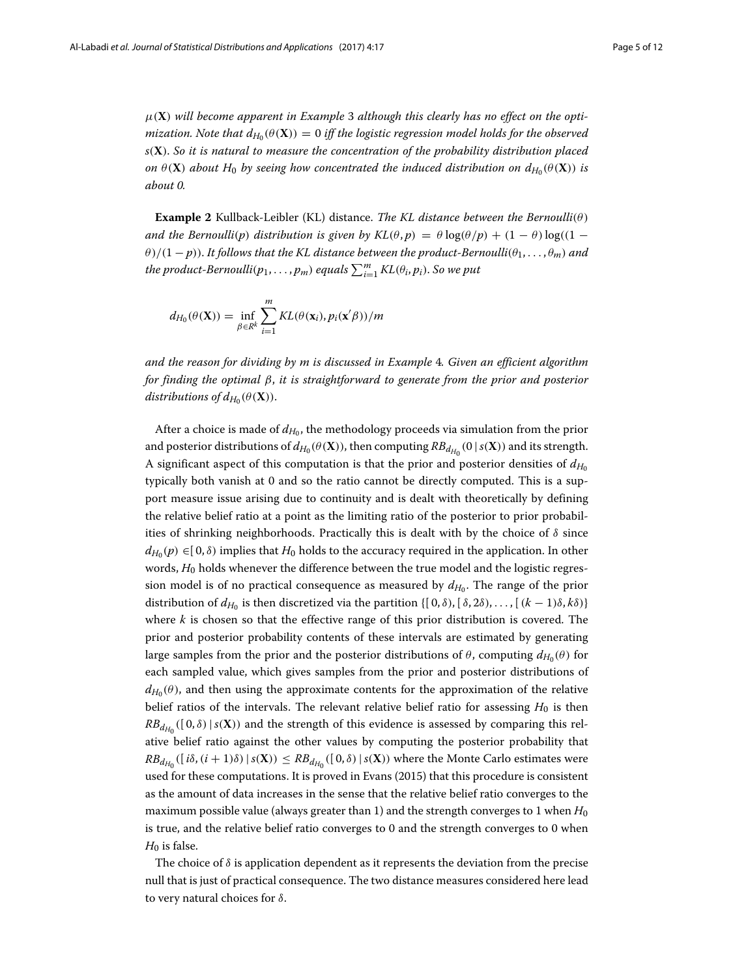μ(**X**) *will become apparent in Example* [3](#page-5-0) *although this clearly has no effect on the optimization.* Note that  $d_{H_0}(\theta(\mathbf{X})) = 0$  *iff the logistic regression model holds for the observed s*(**X**). *So it is natural to measure the concentration of the probability distribution placed on*  $\theta$ (**X**) *about*  $H_0$  *by seeing how concentrated the induced distribution on*  $d_{H_0}(\theta$ *(X)) <i>is about 0.*

**Example 2** Kullback-Leibler (KL) distance. *The KL distance between the Bernoulli*( $\theta$ ) *and the Bernoulli*(*p*) *distribution is given by*  $KL(\theta, p) = \theta \log(\theta/p) + (1 - \theta) \log((1 - \theta)p)$  $\theta$ )/(1 – *p*)). It follows that the KL distance between the product-Bernoulli( $\theta_1, \ldots, \theta_m$ ) and *the product-Bernoulli*( $p_1$ , . . . ,  $p_m$ ) *equals*  $\sum_{i=1}^{m} KL(\theta_i, p_i)$ . *So we put* 

$$
d_{H_0}(\theta(\mathbf{X})) = \inf_{\beta \in R^k} \sum_{i=1}^m KL(\theta(\mathbf{x}_i), p_i(\mathbf{x}'\beta))/m
$$

*and the reason for dividing by m is discussed in Example* [4](#page-5-1)*. Given an efficient algorithm for finding the optimal* β, *it is straightforward to generate from the prior and posterior distributions of*  $d_{H_0}(\theta(\mathbf{X}))$ *.* 

After a choice is made of  $d_{H_0}$ , the methodology proceeds via simulation from the prior and posterior distributions of  $d_{H_0}(\theta(\mathbf{X}))$ , then computing  $RB_{d_{H_0}}(0 \,|\, s(\mathbf{X}))$  and its strength. A significant aspect of this computation is that the prior and posterior densities of  $d_{H_0}$ typically both vanish at 0 and so the ratio cannot be directly computed. This is a support measure issue arising due to continuity and is dealt with theoretically by defining the relative belief ratio at a point as the limiting ratio of the posterior to prior probabilities of shrinking neighborhoods. Practically this is dealt with by the choice of  $\delta$  since  $d_{H_0}(p) \in [0,\delta)$  implies that  $H_0$  holds to the accuracy required in the application. In other words,  $H_0$  holds whenever the difference between the true model and the logistic regression model is of no practical consequence as measured by  $d_{H_0}$ . The range of the prior distribution of  $d_{H_0}$  is then discretized via the partition  $\{[0,\delta), [\delta,2\delta), \ldots, [(k-1)\delta, k\delta)\}$ where  $k$  is chosen so that the effective range of this prior distribution is covered. The prior and posterior probability contents of these intervals are estimated by generating large samples from the prior and the posterior distributions of  $\theta$ , computing  $d_{H_0}(\theta)$  for each sampled value, which gives samples from the prior and posterior distributions of  $d_{H_0}(\theta)$ , and then using the approximate contents for the approximation of the relative belief ratios of the intervals. The relevant relative belief ratio for assessing  $H_0$  is then  $RB_{d_{H_0}}([0,\delta)\,|\, s(\mathbf{X}))$  and the strength of this evidence is assessed by comparing this relative belief ratio against the other values by computing the posterior probability that  $RB_{d_{H_0}}([i\delta, (i+1)\delta) \, | \, s(\mathbf{X})) \leq RB_{d_{H_0}}([0,\delta) \, | \, s(\mathbf{X}))$  where the Monte Carlo estimates were used for these computations. It is proved in Evans [\(2015\)](#page-11-7) that this procedure is consistent as the amount of data increases in the sense that the relative belief ratio converges to the maximum possible value (always greater than 1) and the strength converges to 1 when  $H_0$ is true, and the relative belief ratio converges to 0 and the strength converges to 0 when  $H_0$  is false.

The choice of  $\delta$  is application dependent as it represents the deviation from the precise null that is just of practical consequence. The two distance measures considered here lead to very natural choices for  $\delta$ .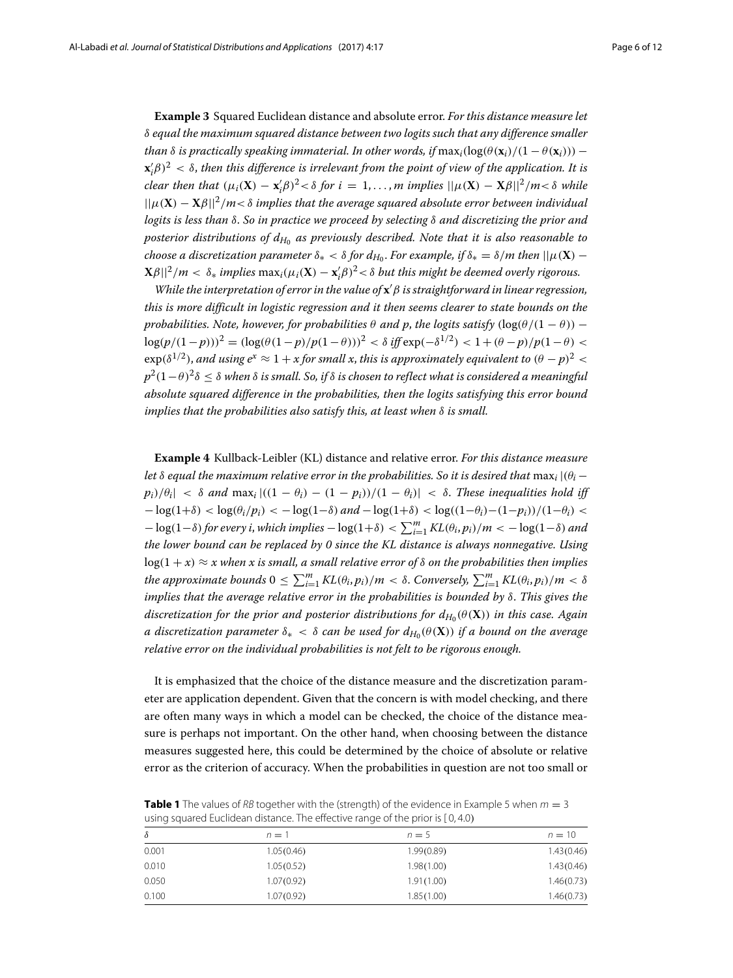<span id="page-5-0"></span>**Example 3** Squared Euclidean distance and absolute error. *For this distance measure let* δ *equal the maximum squared distance between two logits such that any difference smaller than*  $\delta$  *is practically speaking immaterial. In other words, if* max<sub>*i*</sub>(log( $\theta$ (**x**<sub>*i*</sub>)/(1 −  $\theta$ (**x**<sub>*i*</sub>))) −  $\mathbf{x}_i' \beta)^2 < \delta$ , then this difference is irrelevant from the point of view of the application. It is *clear then that*  $(\mu_i(\mathbf{X}) - \mathbf{x}_i^{\prime} \beta)^2 < \delta$  for  $i = 1, ..., m$  implies  $||\mu(\mathbf{X}) - \mathbf{X}\beta||^2/m < \delta$  while  $||\mu(X) - X\beta||^2/m < \delta$  *implies that the average squared absolute error between individual logits is less than* δ. *So in practice we proceed by selecting* δ *and discretizing the prior and posterior distributions of dH*<sup>0</sup> *as previously described. Note that it is also reasonable to choose a discretization parameter*  $\delta^*$  <  $\delta$  *for d<sub>H0</sub>. For example, if*  $\delta^*$  =  $\delta/m$  *then*  $||\mu(\mathbf{X}) \mathbf{X}\beta\vert\vert^2/m < \delta_*$  *implies*  $\max_i(\mu_i(\mathbf{X}) - \mathbf{x}_i'\beta)^2 < \delta$  *but this might be deemed overly rigorous.* 

*While the interpretation of error in the value of* **x** β *is straightforward in linear regression, this is more difficult in logistic regression and it then seems clearer to state bounds on the probabilities. Note, however, for probabilities*  $\theta$  *and p, the logits satisfy*  $(\log(\theta/(1 - \theta)) \log(p/(1-p))^{2} = (\log(\theta(1-p)/p(1-\theta)))^{2} < \delta \text{ iff } \exp(-\delta^{1/2}) < 1 + (\theta - p)/p(1-\theta) <$  $\exp(\delta^{1/2})$ , and using  $e^x \approx 1 + x$  for small x, this is approximately equivalent to  $(\theta - p)^2$  < *<sup>p</sup>*2(1−θ )2<sup>δ</sup> <sup>≤</sup> <sup>δ</sup> *when* <sup>δ</sup> *is small. So, if* <sup>δ</sup> *is chosen to reflect what is considered a meaningful absolute squared difference in the probabilities, then the logits satisfying this error bound implies that the probabilities also satisfy this, at least when* δ *is small.*

<span id="page-5-1"></span>**Example 4** Kullback-Leibler (KL) distance and relative error. *For this distance measure let*  $\delta$  *equal the maximum relative error in the probabilities. So it is desired that* max<sub>*i*</sub>  $|(\theta_i - \theta_i)|$  $p_i$ )/ $\theta_i$ | <  $\delta$  *and* max<sub>*i*</sub>|((1 –  $\theta_i$ ) – (1 –  $p_i$ ))/(1 –  $\theta_i$ )| <  $\delta$ . *These inequalities hold iff*  $-\log(1+\delta) < \log(\theta_i/p_i) < -\log(1-\delta)$  *and*  $-\log(1+\delta) < \log((1-\theta_i)-(1-p_i))/(1-\theta_i) <$  $-$  log(1−δ) *for every i*, *which implies*  $-$  log(1+δ) <  $\sum_{i=1}^{m} KL(\theta_i, p_i) / m$  <  $-$  log(1−δ) and *the lower bound can be replaced by 0 since the KL distance is always nonnegative. Using* log( $1 + x$ )  $\approx x$  when x is small, a small relative error of  $\delta$  on the probabilities then implies *the approximate bounds*  $0 \le \sum_{i=1}^{m} KL(\theta_i, p_i)/m < \delta$ . Conversely,  $\sum_{i=1}^{m} KL(\theta_i, p_i)/m < \delta$ *implies that the average relative error in the probabilities is bounded by* δ. *This gives the discretization for the prior and posterior distributions for*  $d_{H_0}(\theta(\mathbf{X}))$  *in this case. Again a discretization parameter*  $\delta_* < \delta$  *can be used for*  $d_{H_0}(\theta(\mathbf{X}))$  *if a bound on the average relative error on the individual probabilities is not felt to be rigorous enough.*

It is emphasized that the choice of the distance measure and the discretization parameter are application dependent. Given that the concern is with model checking, and there are often many ways in which a model can be checked, the choice of the distance measure is perhaps not important. On the other hand, when choosing between the distance measures suggested here, this could be determined by the choice of absolute or relative error as the criterion of accuracy. When the probabilities in question are not too small or

| $\delta$ | $n=1$      | $n=5$      | $n = 10$   |
|----------|------------|------------|------------|
| 0.001    | 1.05(0.46) | 1.99(0.89) | 1.43(0.46) |
| 0.010    | 1.05(0.52) | 1.98(1.00) | 1.43(0.46) |
| 0.050    | 1.07(0.92) | 1.91(1.00) | 1.46(0.73) |
| 0.100    | 1.07(0.92) | 1.85(1.00) | 1.46(0.73) |
|          |            |            |            |

<span id="page-5-2"></span>**Table 1** The values of RB together with the (strength) of the evidence in Example [5](#page-7-0) when  $m = 3$ using squared Euclidean distance. The effective range of the prior is [ 0, 4.0)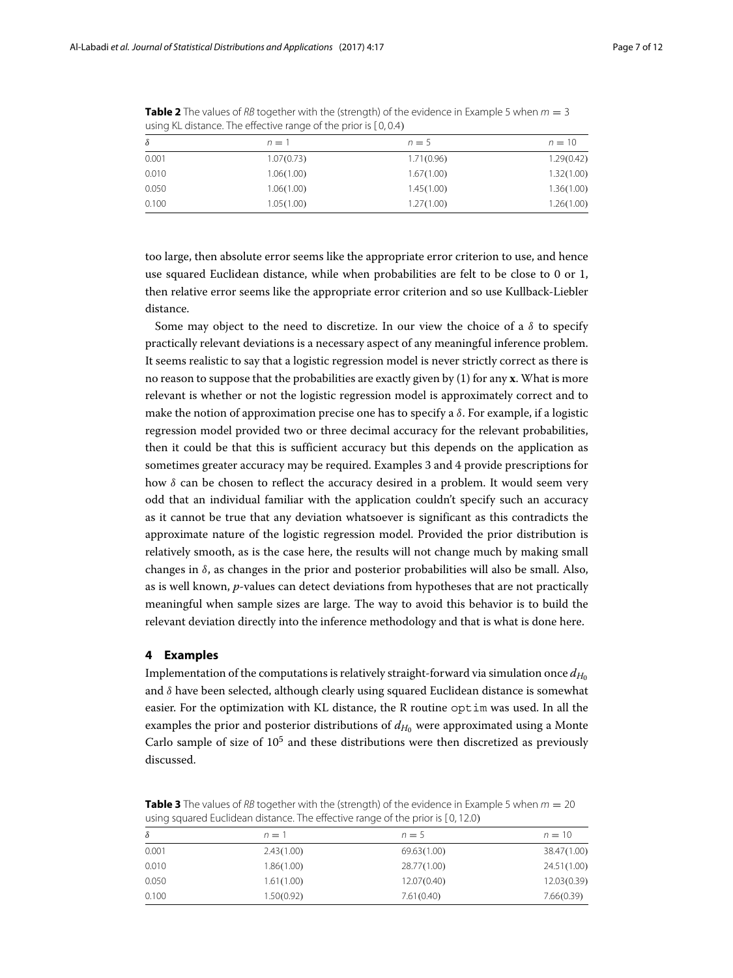| $\delta$ | $n=1$      | $n=5$      | $n = 10$   |
|----------|------------|------------|------------|
| 0.001    | 1.07(0.73) | 1.71(0.96) | 1.29(0.42) |
| 0.010    | 1.06(1.00) | 1.67(1.00) | 1.32(1.00) |
| 0.050    | 1.06(1.00) | 1.45(1.00) | 1.36(1.00) |
| 0.100    | 1.05(1.00) | 1.27(1.00) | 1.26(1.00) |

<span id="page-6-1"></span>**Table 2** The values of RB together with the (strength) of the evidence in Example [5](#page-7-0) when  $m = 3$ using KL distance. The effective range of the prior is [ 0, 0.4)

too large, then absolute error seems like the appropriate error criterion to use, and hence use squared Euclidean distance, while when probabilities are felt to be close to 0 or 1, then relative error seems like the appropriate error criterion and so use Kullback-Liebler distance.

Some may object to the need to discretize. In our view the choice of a  $\delta$  to specify practically relevant deviations is a necessary aspect of any meaningful inference problem. It seems realistic to say that a logistic regression model is never strictly correct as there is no reason to suppose that the probabilities are exactly given by [\(1\)](#page-0-0) for any **x**. What is more relevant is whether or not the logistic regression model is approximately correct and to make the notion of approximation precise one has to specify a  $\delta$ . For example, if a logistic regression model provided two or three decimal accuracy for the relevant probabilities, then it could be that this is sufficient accuracy but this depends on the application as sometimes greater accuracy may be required. Examples [3](#page-5-0) and [4](#page-5-1) provide prescriptions for how  $\delta$  can be chosen to reflect the accuracy desired in a problem. It would seem very odd that an individual familiar with the application couldn't specify such an accuracy as it cannot be true that any deviation whatsoever is significant as this contradicts the approximate nature of the logistic regression model. Provided the prior distribution is relatively smooth, as is the case here, the results will not change much by making small changes in  $\delta$ , as changes in the prior and posterior probabilities will also be small. Also, as is well known, *p*-values can detect deviations from hypotheses that are not practically meaningful when sample sizes are large. The way to avoid this behavior is to build the relevant deviation directly into the inference methodology and that is what is done here.

## <span id="page-6-0"></span>**4 Examples**

Implementation of the computations is relatively straight-forward via simulation once  $d_{H_0}$ and  $\delta$  have been selected, although clearly using squared Euclidean distance is somewhat easier. For the optimization with KL distance, the R routine optim was used. In all the examples the prior and posterior distributions of  $d_{H_0}$  were approximated using a Monte Carlo sample of size of  $10^5$  and these distributions were then discretized as previously discussed.

| $\delta$ | $n=1$      | $n = 5$     | $n = 10$    |
|----------|------------|-------------|-------------|
| 0.001    | 2.43(1.00) | 69.63(1.00) | 38.47(1.00) |
| 0.010    | 1.86(1.00) | 28.77(1.00) | 24.51(1.00) |
| 0.050    | 1.61(1.00) | 12.07(0.40) | 12.03(0.39) |
| 0.100    | 1.50(0.92) | 7.61(0.40)  | 7.66(0.39)  |
|          |            |             |             |

<span id="page-6-2"></span>**Table 3** The values of RB together with the (strength) of the evidence in Example [5](#page-7-0) when  $m = 20$ using squared Euclidean distance. The effective range of the prior is [ 0, 12.0)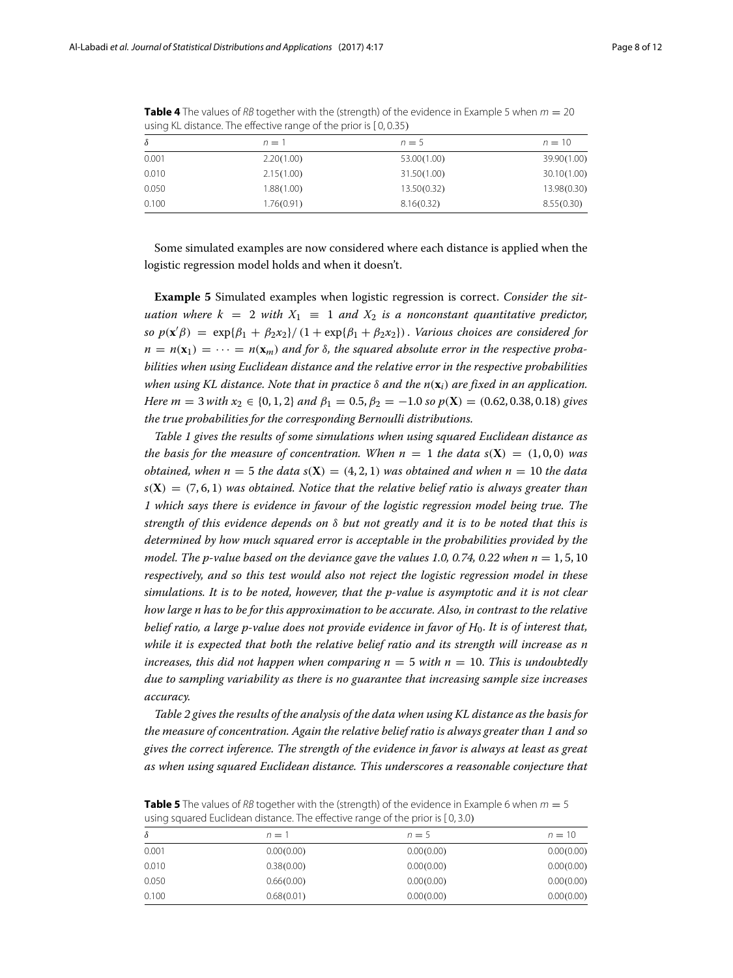| $\delta$ | $n=1$      | $n=5$       | $n = 10$    |
|----------|------------|-------------|-------------|
| 0.001    | 2.20(1.00) | 53.00(1.00) | 39.90(1.00) |
| 0.010    | 2.15(1.00) | 31.50(1.00) | 30.10(1.00) |
| 0.050    | 1.88(1.00) | 13.50(0.32) | 13.98(0.30) |
| 0.100    | 1.76(0.91) | 8.16(0.32)  | 8.55(0.30)  |

<span id="page-7-1"></span>**Table 4** The values of RB together with the (strength) of the evidence in Example [5](#page-7-0) when  $m = 20$ using KL distance. The effective range of the prior is [ 0, 0.35)

Some simulated examples are now considered where each distance is applied when the logistic regression model holds and when it doesn't.

<span id="page-7-0"></span>**Example 5** Simulated examples when logistic regression is correct. *Consider the situation where*  $k = 2$  *with*  $X_1 \equiv 1$  *and*  $X_2$  *is a nonconstant quantitative predictor, so*  $p(\mathbf{x}'\beta) = \exp{\{\beta_1 + \beta_2 x_2\}}/ (1 + \exp{\{\beta_1 + \beta_2 x_2\}})$ . *Various choices are considered for*  $n = n(\mathbf{x}_1) = \cdots = n(\mathbf{x}_m)$  and for  $\delta$ , the squared absolute error in the respective proba*bilities when using Euclidean distance and the relative error in the respective probabilities when using KL distance. Note that in practice* δ *and the n*(**x***i*) *are fixed in an application. Here m* = 3*with*  $x_2 \in \{0, 1, 2\}$  *and*  $\beta_1 = 0.5$ ,  $\beta_2 = -1.0$  *so*  $p(X) = (0.62, 0.38, 0.18)$  *gives the true probabilities for the corresponding Bernoulli distributions.*

*Table [1](#page-5-2) gives the results of some simulations when using squared Euclidean distance as the basis for the measure of concentration. When*  $n = 1$  *the data*  $s(X) = (1, 0, 0)$  *was obtained, when n* = 5 *the data*  $s(X) = (4, 2, 1)$  *was obtained and when*  $n = 10$  *the data*  $s(X) = (7, 6, 1)$  *was obtained. Notice that the relative belief ratio is always greater than 1 which says there is evidence in favour of the logistic regression model being true. The strength of this evidence depends on* δ *but not greatly and it is to be noted that this is determined by how much squared error is acceptable in the probabilities provided by the model. The p-value based on the deviance gave the values 1.0, 0.74, 0.22 when n* = 1, 5, 10 *respectively, and so this test would also not reject the logistic regression model in these simulations. It is to be noted, however, that the p-value is asymptotic and it is not clear how large n has to be for this approximation to be accurate. Also, in contrast to the relative belief ratio, a large p-value does not provide evidence in favor of H*0. *It is of interest that, while it is expected that both the relative belief ratio and its strength will increase as n increases, this did not happen when comparing*  $n = 5$  *with*  $n = 10$ *. This is undoubtedly due to sampling variability as there is no guarantee that increasing sample size increases accuracy.*

*Table [2](#page-6-1) gives the results of the analysis of the data when using KL distance as the basis for the measure of concentration. Again the relative belief ratio is always greater than 1 and so gives the correct inference. The strength of the evidence in favor is always at least as great as when using squared Euclidean distance. This underscores a reasonable conjecture that*

| $\delta$ | $n=1$      | $n=5$      | $n = 10$   |
|----------|------------|------------|------------|
| 0.001    | 0.00(0.00) | 0.00(0.00) | 0.00(0.00) |
| 0.010    | 0.38(0.00) | 0.00(0.00) | 0.00(0.00) |
| 0.050    | 0.66(0.00) | 0.00(0.00) | 0.00(0.00) |
| 0.100    | 0.68(0.01) | 0.00(0.00) | 0.00(0.00) |
|          |            |            |            |

<span id="page-7-2"></span>**Table 5** The values of RB together with the (strength) of the evidence in Example [6](#page-9-0) when  $m = 5$ using squared Euclidean distance. The effective range of the prior is [ 0, 3.0)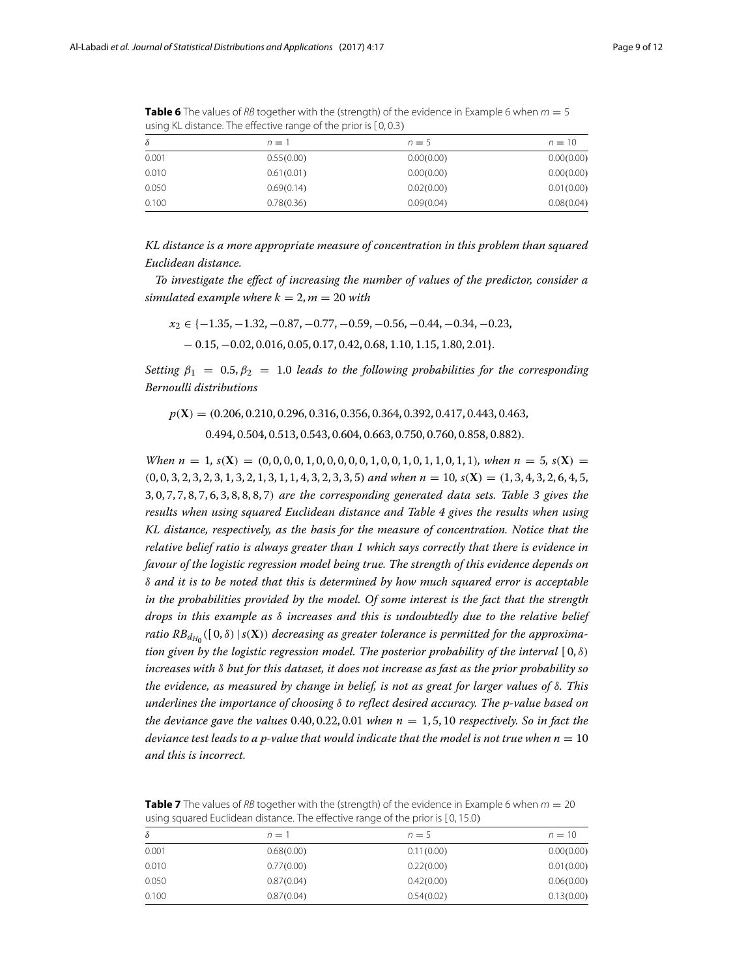| $\delta$ | $n=1$      | $n=5$      | $n = 10$   |  |
|----------|------------|------------|------------|--|
| 0.001    | 0.55(0.00) | 0.00(0.00) | 0.00(0.00) |  |
| 0.010    | 0.61(0.01) | 0.00(0.00) | 0.00(0.00) |  |
| 0.050    | 0.69(0.14) | 0.02(0.00) | 0.01(0.00) |  |
| 0.100    | 0.78(0.36) | 0.09(0.04) | 0.08(0.04) |  |
|          |            |            |            |  |

<span id="page-8-0"></span>**Table [6](#page-9-0)** The values of RB together with the (strength) of the evidence in Example 6 when  $m = 5$ using KL distance. The effective range of the prior is [ 0, 0.3)

*KL distance is a more appropriate measure of concentration in this problem than squared Euclidean distance.*

*To investigate the effect of increasing the number of values of the predictor, consider a simulated example where*  $k = 2$ ,  $m = 20$  *with* 

*x*<sub>2</sub> ∈ {-1.35, -1.32, -0.87, -0.77, -0.59, -0.56, -0.44, -0.34, -0.23,

− 0.15, −0.02, 0.016, 0.05, 0.17, 0.42, 0.68, 1.10, 1.15, 1.80, 2.01}.

Setting  $\beta_1 = 0.5, \beta_2 = 1.0$  *leads to the following probabilities for the corresponding Bernoulli distributions*

*p*(**X**) = (0.206, 0.210, 0.296, 0.316, 0.356, 0.364, 0.392, 0.417, 0.443, 0.463,

0.494, 0.504, 0.513, 0.543, 0.604, 0.663, 0.750, 0.760, 0.858, 0.882).

*When*  $n = 1$ ,  $s(X) = (0, 0, 0, 0, 1, 0, 0, 0, 0, 1, 0, 0, 1, 0, 1, 1, 0, 1, 1)$ *, when*  $n = 5$ ,  $s(X) =$  $(0, 0, 3, 2, 3, 2, 3, 1, 3, 2, 1, 3, 1, 1, 4, 3, 2, 3, 3, 5)$  *and when*  $n = 10$ ,  $s(X) = (1, 3, 4, 3, 2, 6, 4, 5, 6)$ 3, 0, 7, 7, 8, 7, 6, 3, 8, 8, 8, 7) *are the corresponding generated data sets. Table [3](#page-6-2) gives the results when using squared Euclidean distance and Table [4](#page-7-1) gives the results when using KL distance, respectively, as the basis for the measure of concentration. Notice that the relative belief ratio is always greater than 1 which says correctly that there is evidence in favour of the logistic regression model being true. The strength of this evidence depends on* δ *and it is to be noted that this is determined by how much squared error is acceptable in the probabilities provided by the model. Of some interest is the fact that the strength drops in this example as* δ *increases and this is undoubtedly due to the relative belief* ratio RB $_{d_{H_0}}([0,\delta)\,|\, s({\bf X}))$  decreasing as greater tolerance is permitted for the approxima*tion given by the logistic regression model. The posterior probability of the interval* [ 0, δ) *increases with* δ *but for this dataset, it does not increase as fast as the prior probability so the evidence, as measured by change in belief, is not as great for larger values of* δ*. This underlines the importance of choosing* δ *to reflect desired accuracy. The p-value based on the deviance gave the values*  $0.40, 0.22, 0.01$  *when*  $n = 1, 5, 10$  *respectively. So in fact the deviance test leads to a p-value that would indicate that the model is not true when n* = 10 *and this is incorrect.*

 $n = 1$  n = 5 n = 10 0.001 0.68(0.00) 0.11(0.00) 0.11(0.00) 0.00(0.00) 0.010 0.77(0.00) 0.77(0.00) 0.22(0.00) 0.22(0.00) 0.01(0.00) 0.050 0.87(0.04) 0.42(0.00) 0.06(0.00) 0.100 0.87(0.04) 0.54(0.02) 0.5400.02 0.13(0.00)

<span id="page-8-1"></span>**Table 7** The values of RB together with the (strength) of the evidence in Example [6](#page-9-0) when  $m = 20$ using squared Euclidean distance. The effective range of the prior is [ 0, 15.0)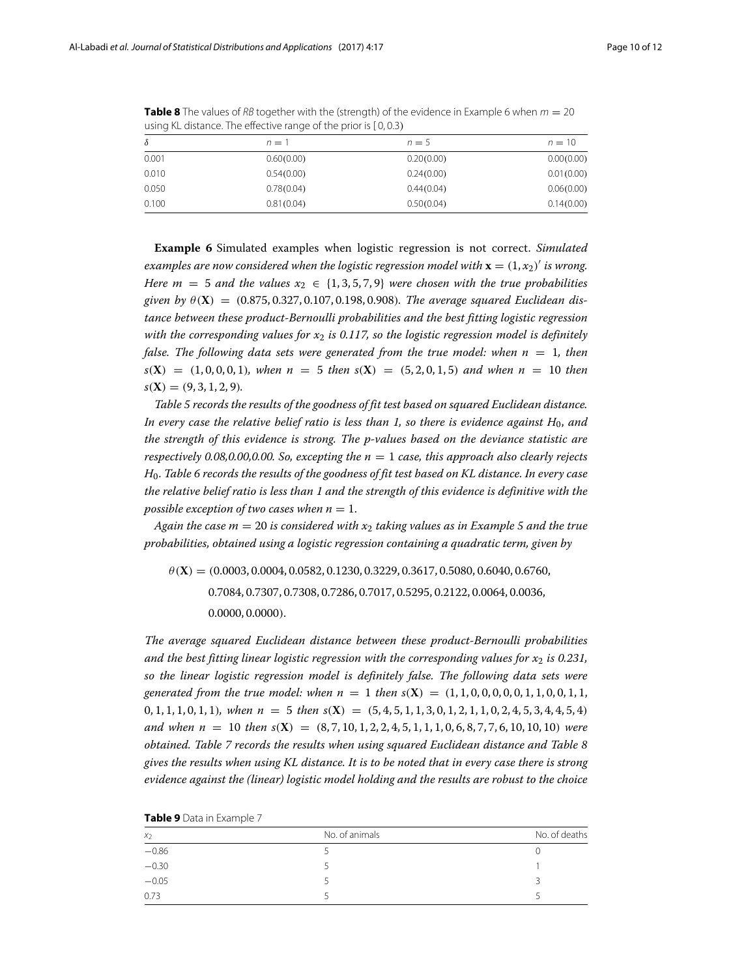| $\delta$ | $n=1$      | $n=5$      | $n = 10$   |
|----------|------------|------------|------------|
| 0.001    | 0.60(0.00) | 0.20(0.00) | 0.00(0.00) |
| 0.010    | 0.54(0.00) | 0.24(0.00) | 0.01(0.00) |
| 0.050    | 0.78(0.04) | 0.44(0.04) | 0.06(0.00) |
| 0.100    | 0.81(0.04) | 0.50(0.04) | 0.14(0.00) |

<span id="page-9-1"></span>**Table 8** The values of RB together with the (strength) of the evidence in Example [6](#page-9-0) when  $m = 20$ using KL distance. The effective range of the prior is [ 0, 0.3)

<span id="page-9-0"></span>**Example 6** Simulated examples when logistic regression is not correct. *Simulated examples are now considered when the logistic regression model with*  $\mathbf{x} = (1, x_2)'$  *is wrong. Here m* = 5 *and the values*  $x_2 \in \{1, 3, 5, 7, 9\}$  *were chosen with the true probabilities* given by  $\theta(X) = (0.875, 0.327, 0.107, 0.198, 0.908)$ . The average squared Euclidean dis*tance between these product-Bernoulli probabilities and the best fitting logistic regression with the corresponding values for x*<sup>2</sup> *is 0.117, so the logistic regression model is definitely false. The following data sets were generated from the true model: when*  $n = 1$ , then  $s(X) = (1, 0, 0, 0, 1)$ *, when*  $n = 5$  *then*  $s(X) = (5, 2, 0, 1, 5)$  *and when*  $n = 10$  *then*  $s(X) = (9, 3, 1, 2, 9)$ .

*Table [5](#page-7-2) records the results of the goodness of fit test based on squared Euclidean distance. In every case the relative belief ratio is less than 1, so there is evidence against*  $H_0$ *, and the strength of this evidence is strong. The p-values based on the deviance statistic are respectively* 0.08,0.00,0.00. So, excepting the  $n = 1$  case, this approach also clearly rejects *H*0. *Table [6](#page-8-0) records the results of the goodness of fit test based on KL distance. In every case the relative belief ratio is less than 1 and the strength of this evidence is definitive with the possible exception of two cases when*  $n = 1$ *.* 

*Again the case*  $m = 20$  *is considered with*  $x_2$  *taking values as in Example* [5](#page-7-0) *and the true probabilities, obtained using a logistic regression containing a quadratic term, given by*

θ (**X**) = (0.0003, 0.0004, 0.0582, 0.1230, 0.3229, 0.3617, 0.5080, 0.6040, 0.6760, 0.7084, 0.7307, 0.7308, 0.7286, 0.7017, 0.5295, 0.2122, 0.0064, 0.0036, 0.0000, 0.0000).

*The average squared Euclidean distance between these product-Bernoulli probabilities and the best fitting linear logistic regression with the corresponding values for*  $x_2$  *is 0.231, so the linear logistic regression model is definitely false. The following data sets were generated from the true model: when n* = 1 *then s*(**X**) = (1, 1, 0, 0, 0, 0, 0, 1, 1, 0, 0, 1, 1, 0, 1, 1, 1, 0, 1, 1)*, when*  $n = 5$  *then*  $s(X) = (5, 4, 5, 1, 1, 3, 0, 1, 2, 1, 1, 0, 2, 4, 5, 3, 4, 4, 5, 4)$ *and when*  $n = 10$  *then*  $s(X) = (8, 7, 10, 1, 2, 2, 4, 5, 1, 1, 1, 0, 6, 8, 7, 7, 6, 10, 10, 10)$  *were obtained. Table [7](#page-8-1) records the results when using squared Euclidean distance and Table [8](#page-9-1) gives the results when using KL distance. It is to be noted that in every case there is strong evidence against the (linear) logistic model holding and the results are robust to the choice*

| X <sub>2</sub> | No. of animals | No. of deaths |
|----------------|----------------|---------------|
| $-0.86$        |                |               |
| $-0.30$        |                |               |
| $-0.05$        |                |               |
| 0.73           |                |               |

<span id="page-9-2"></span>**Table 9** Data in Example [7](#page-10-0)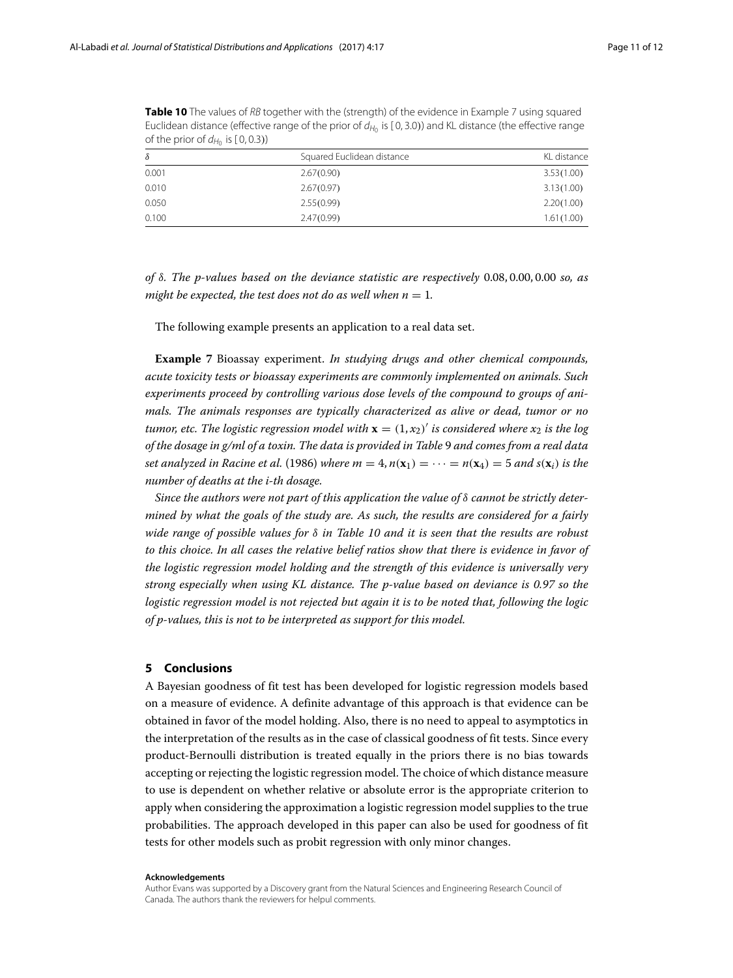| $\frac{1}{2}$ . $\frac{1}{2}$ . $\frac{1}{2}$ . $\frac{1}{2}$ . $\frac{1}{2}$ . $\frac{1}{2}$ . $\frac{1}{2}$ . $\frac{1}{2}$ . $\frac{1}{2}$ . $\frac{1}{2}$ . $\frac{1}{2}$ . $\frac{1}{2}$ . $\frac{1}{2}$ . $\frac{1}{2}$ . $\frac{1}{2}$ . $\frac{1}{2}$ . $\frac{1}{2}$ . $\frac{1}{2}$ . $\frac{1}{2}$ . $\frac{1}{2}$ . |                            |             |
|---------------------------------------------------------------------------------------------------------------------------------------------------------------------------------------------------------------------------------------------------------------------------------------------------------------------------------|----------------------------|-------------|
| $\delta$                                                                                                                                                                                                                                                                                                                        | Squared Euclidean distance | KL distance |
| 0.001                                                                                                                                                                                                                                                                                                                           | 2.67(0.90)                 | 3.53(1.00)  |
| 0.010                                                                                                                                                                                                                                                                                                                           | 2.67(0.97)                 | 3.13(1.00)  |
| 0.050                                                                                                                                                                                                                                                                                                                           | 2.55(0.99)                 | 2.20(1.00)  |
| 0.100                                                                                                                                                                                                                                                                                                                           | 2.47(0.99)                 | 1.61(1.00)  |

<span id="page-10-1"></span>**Table 10** The values of RB together with the (strength) of the evidence in Example [7](#page-10-0) using squared Euclidean distance (effective range of the prior of  $d_{H_0}$  is [0, 3.0)) and KL distance (the effective range of the prior of  $d_{\theta}$ , is [ 0, 0.3))

*of* δ*. The p-values based on the deviance statistic are respectively* 0.08, 0.00, 0.00 *so, as might be expected, the test does not do as well when*  $n = 1$ *.* 

The following example presents an application to a real data set.

<span id="page-10-0"></span>**Example 7** Bioassay experiment. *In studying drugs and other chemical compounds, acute toxicity tests or bioassay experiments are commonly implemented on animals. Such experiments proceed by controlling various dose levels of the compound to groups of animals. The animals responses are typically characterized as alive or dead, tumor or no tumor, etc. The logistic regression model with*  $\mathbf{x} = (1, x_2)'$  *is considered where*  $x_2$  *is the log of the dosage in g/ml of a toxin. The data is provided in Table* [9](#page-9-2) *and comes from a real data set analyzed in Racine et al.* [\(1986\)](#page-11-10) *where m* = 4,  $n(\mathbf{x}_1) = \cdots = n(\mathbf{x}_4) = 5$  *and*  $s(\mathbf{x}_i)$  *is the number of deaths at the i-th dosage.*

*Since the authors were not part of this application the value of* δ *cannot be strictly determined by what the goals of the study are. As such, the results are considered for a fairly wide range of possible values for* δ *in Table [10](#page-10-1) and it is seen that the results are robust to this choice. In all cases the relative belief ratios show that there is evidence in favor of the logistic regression model holding and the strength of this evidence is universally very strong especially when using KL distance. The p-value based on deviance is 0.97 so the logistic regression model is not rejected but again it is to be noted that, following the logic of p-values, this is not to be interpreted as support for this model.*

## **5 Conclusions**

A Bayesian goodness of fit test has been developed for logistic regression models based on a measure of evidence. A definite advantage of this approach is that evidence can be obtained in favor of the model holding. Also, there is no need to appeal to asymptotics in the interpretation of the results as in the case of classical goodness of fit tests. Since every product-Bernoulli distribution is treated equally in the priors there is no bias towards accepting or rejecting the logistic regression model. The choice of which distance measure to use is dependent on whether relative or absolute error is the appropriate criterion to apply when considering the approximation a logistic regression model supplies to the true probabilities. The approach developed in this paper can also be used for goodness of fit tests for other models such as probit regression with only minor changes.

#### **Acknowledgements**

Author Evans was supported by a Discovery grant from the Natural Sciences and Engineering Research Council of Canada. The authors thank the reviewers for helpul comments.